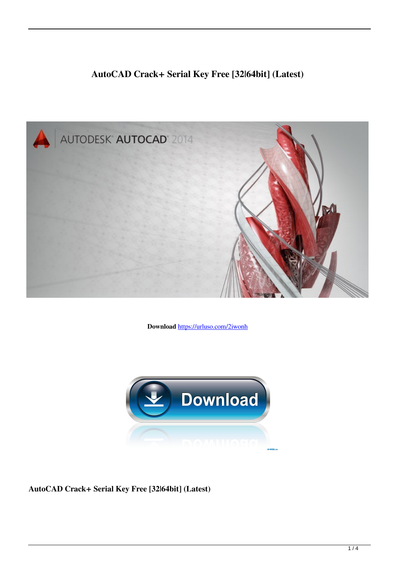# **AutoCAD Crack+ Serial Key Free [32|64bit] (Latest)**



**Download** <https://urluso.com/2iwonh>



**AutoCAD Crack+ Serial Key Free [32|64bit] (Latest)**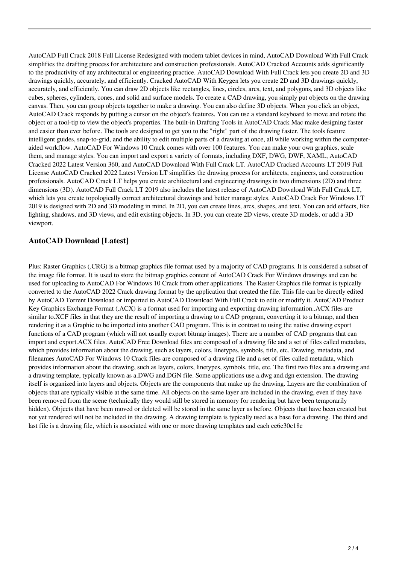AutoCAD Full Crack 2018 Full License Redesigned with modern tablet devices in mind, AutoCAD Download With Full Crack simplifies the drafting process for architecture and construction professionals. AutoCAD Cracked Accounts adds significantly to the productivity of any architectural or engineering practice. AutoCAD Download With Full Crack lets you create 2D and 3D drawings quickly, accurately, and efficiently. Cracked AutoCAD With Keygen lets you create 2D and 3D drawings quickly, accurately, and efficiently. You can draw 2D objects like rectangles, lines, circles, arcs, text, and polygons, and 3D objects like cubes, spheres, cylinders, cones, and solid and surface models. To create a CAD drawing, you simply put objects on the drawing canvas. Then, you can group objects together to make a drawing. You can also define 3D objects. When you click an object, AutoCAD Crack responds by putting a cursor on the object's features. You can use a standard keyboard to move and rotate the object or a tool-tip to view the object's properties. The built-in Drafting Tools in AutoCAD Crack Mac make designing faster and easier than ever before. The tools are designed to get you to the "right" part of the drawing faster. The tools feature intelligent guides, snap-to-grid, and the ability to edit multiple parts of a drawing at once, all while working within the computeraided workflow. AutoCAD For Windows 10 Crack comes with over 100 features. You can make your own graphics, scale them, and manage styles. You can import and export a variety of formats, including DXF, DWG, DWF, XAML, AutoCAD Cracked 2022 Latest Version 360, and AutoCAD Download With Full Crack LT. AutoCAD Cracked Accounts LT 2019 Full License AutoCAD Cracked 2022 Latest Version LT simplifies the drawing process for architects, engineers, and construction professionals. AutoCAD Crack LT helps you create architectural and engineering drawings in two dimensions (2D) and three dimensions (3D). AutoCAD Full Crack LT 2019 also includes the latest release of AutoCAD Download With Full Crack LT, which lets you create topologically correct architectural drawings and better manage styles. AutoCAD Crack For Windows LT 2019 is designed with 2D and 3D modeling in mind. In 2D, you can create lines, arcs, shapes, and text. You can add effects, like lighting, shadows, and 3D views, and edit existing objects. In 3D, you can create 2D views, create 3D models, or add a 3D viewport.

## **AutoCAD Download [Latest]**

Plus: Raster Graphics (.CRG) is a bitmap graphics file format used by a majority of CAD programs. It is considered a subset of the image file format. It is used to store the bitmap graphics content of AutoCAD Crack For Windows drawings and can be used for uploading to AutoCAD For Windows 10 Crack from other applications. The Raster Graphics file format is typically converted to the AutoCAD 2022 Crack drawing format by the application that created the file. This file can be directly edited by AutoCAD Torrent Download or imported to AutoCAD Download With Full Crack to edit or modify it. AutoCAD Product Key Graphics Exchange Format (.ACX) is a format used for importing and exporting drawing information..ACX files are similar to.XCF files in that they are the result of importing a drawing to a CAD program, converting it to a bitmap, and then rendering it as a Graphic to be imported into another CAD program. This is in contrast to using the native drawing export functions of a CAD program (which will not usually export bitmap images). There are a number of CAD programs that can import and export.ACX files. AutoCAD Free Download files are composed of a drawing file and a set of files called metadata, which provides information about the drawing, such as layers, colors, linetypes, symbols, title, etc. Drawing, metadata, and filenames AutoCAD For Windows 10 Crack files are composed of a drawing file and a set of files called metadata, which provides information about the drawing, such as layers, colors, linetypes, symbols, title, etc. The first two files are a drawing and a drawing template, typically known as a.DWG and.DGN file. Some applications use a.dwg and.dgn extension. The drawing itself is organized into layers and objects. Objects are the components that make up the drawing. Layers are the combination of objects that are typically visible at the same time. All objects on the same layer are included in the drawing, even if they have been removed from the scene (technically they would still be stored in memory for rendering but have been temporarily hidden). Objects that have been moved or deleted will be stored in the same layer as before. Objects that have been created but not yet rendered will not be included in the drawing. A drawing template is typically used as a base for a drawing. The third and last file is a drawing file, which is associated with one or more drawing templates and each ce6e30c18e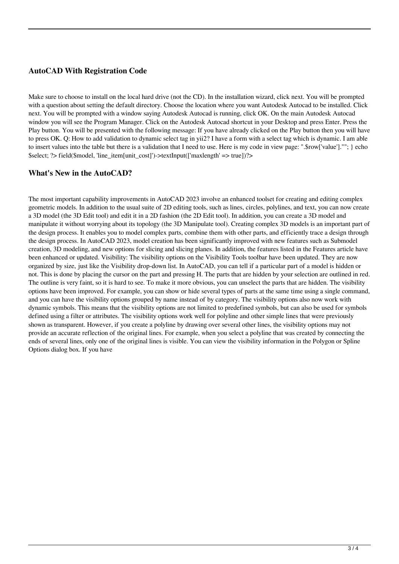### **AutoCAD With Registration Code**

Make sure to choose to install on the local hard drive (not the CD). In the installation wizard, click next. You will be prompted with a question about setting the default directory. Choose the location where you want Autodesk Autocad to be installed. Click next. You will be prompted with a window saying Autodesk Autocad is running, click OK. On the main Autodesk Autocad window you will see the Program Manager. Click on the Autodesk Autocad shortcut in your Desktop and press Enter. Press the Play button. You will be presented with the following message: If you have already clicked on the Play button then you will have to press OK. Q: How to add validation to dynamic select tag in yii2? I have a form with a select tag which is dynamic. I am able to insert values into the table but there is a validation that I need to use. Here is my code in view page: ".\$row['value'].""; } echo \$select; ?> field(\$model, 'line\_item[unit\_cost]')->textInput(['maxlength' => true])?>

#### **What's New in the AutoCAD?**

The most important capability improvements in AutoCAD 2023 involve an enhanced toolset for creating and editing complex geometric models. In addition to the usual suite of 2D editing tools, such as lines, circles, polylines, and text, you can now create a 3D model (the 3D Edit tool) and edit it in a 2D fashion (the 2D Edit tool). In addition, you can create a 3D model and manipulate it without worrying about its topology (the 3D Manipulate tool). Creating complex 3D models is an important part of the design process. It enables you to model complex parts, combine them with other parts, and efficiently trace a design through the design process. In AutoCAD 2023, model creation has been significantly improved with new features such as Submodel creation, 3D modeling, and new options for slicing and slicing planes. In addition, the features listed in the Features article have been enhanced or updated. Visibility: The visibility options on the Visibility Tools toolbar have been updated. They are now organized by size, just like the Visibility drop-down list. In AutoCAD, you can tell if a particular part of a model is hidden or not. This is done by placing the cursor on the part and pressing H. The parts that are hidden by your selection are outlined in red. The outline is very faint, so it is hard to see. To make it more obvious, you can unselect the parts that are hidden. The visibility options have been improved. For example, you can show or hide several types of parts at the same time using a single command, and you can have the visibility options grouped by name instead of by category. The visibility options also now work with dynamic symbols. This means that the visibility options are not limited to predefined symbols, but can also be used for symbols defined using a filter or attributes. The visibility options work well for polyline and other simple lines that were previously shown as transparent. However, if you create a polyline by drawing over several other lines, the visibility options may not provide an accurate reflection of the original lines. For example, when you select a polyline that was created by connecting the ends of several lines, only one of the original lines is visible. You can view the visibility information in the Polygon or Spline Options dialog box. If you have